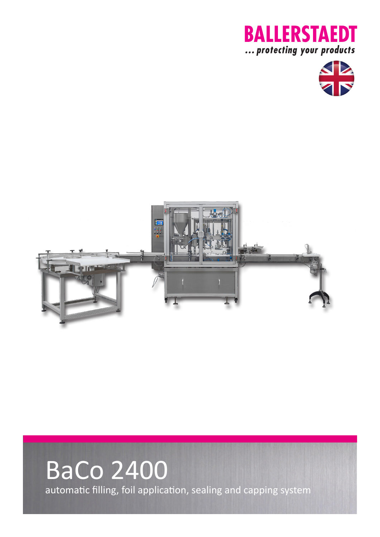





## BaCo 2400 automatic filling, foil application, sealing and capping system